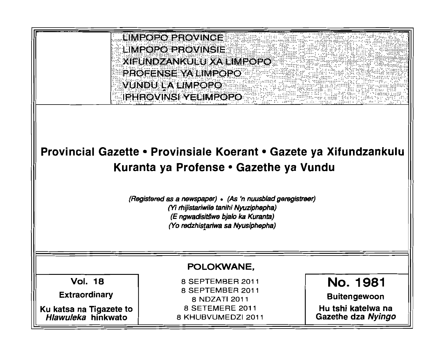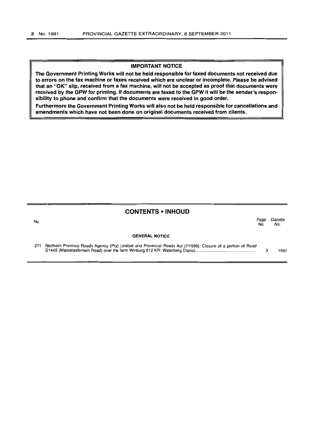#### IMPORTANT NOTICE

The Government Printing Works will not be held responsible for faxed documents not received due to errors on the fax machine or faxes received which are unclear or incomplete. Please be advised that an "OK" Slip, received from a fax machine, will not be accepted as proof that documents were received by the GPW for printing. If documents are faxed to the GPW it will be the sender's responsibility to phone and confirm that the documents were received in good order.

Furthermore the Government Printing Works will also not be held responsible for cancellations and amendments which have not been done on original documents received from clients.

## CONTENTS • INHOUD

No. Page Gazette No. No. GENERAL NOTICE

| 271 Northern Province Roads Agency (Pty) Limited and Provincial Roads Act (7/1998): Closure of a portion of Road |      |
|------------------------------------------------------------------------------------------------------------------|------|
|                                                                                                                  | 1981 |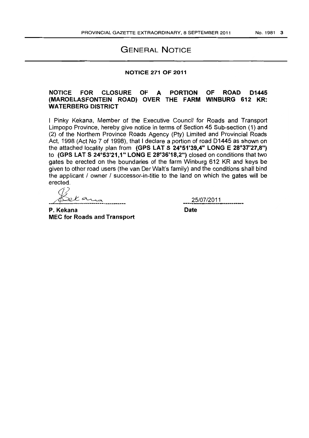# GENERAL NOTICE

### NOTICE 271 OF 2011

## NOTICE FOR CLOSURE OF A PORTION OF ROAD D1445 (MAROELASFONTEIN ROAD) OVER THE FARM WINBLIRG 612 KR: WATERBERG DISTRICT

I Pinky Kekana, Member of the Executive Council for Roads and Transport Limpopo Province, hereby give notice in terms of Section 45 Sub-section (1) and (2) of the Northern Province Roads Agency (Pty) Limited and Provincial Roads Act, 1998 (Act No 7 of 1998), that I declare a portion of road D1445 as shown on the attached locality plan from (GPS LAT S 24°51'39,4" LONG E 28°37'27,8") to (GPS LAT S *24°53'21,1"* LONG E 28°36'18,2") closed on conditions that two gates be erected on the boundaries of the farm Winburg 612 KR and keys be given to other road users (the van Der Walt's family) and the conditions shall bind the applicant / owner / successor-in-title to the land on which the gates will be erected.

 $\widehat{\left(\frac{1}{2}\right)}$  $% K \sim 25/07/2011$ <br>P. Kekana Date

MEC for Roads and Transport